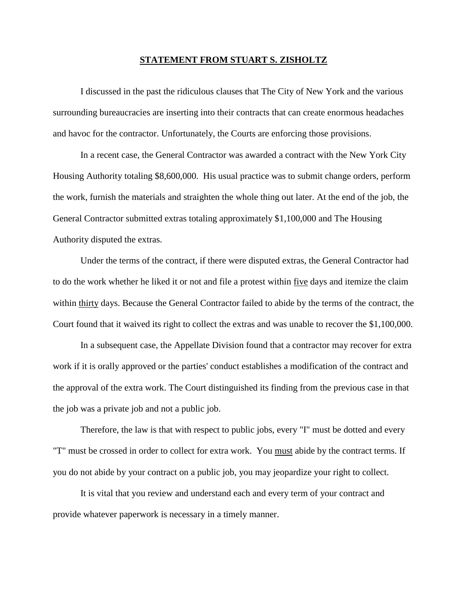## **STATEMENT FROM STUART S. ZISHOLTZ**

I discussed in the past the ridiculous clauses that The City of New York and the various surrounding bureaucracies are inserting into their contracts that can create enormous headaches and havoc for the contractor. Unfortunately, the Courts are enforcing those provisions.

In a recent case, the General Contractor was awarded a contract with the New York City Housing Authority totaling \$8,600,000. His usual practice was to submit change orders, perform the work, furnish the materials and straighten the whole thing out later. At the end of the job, the General Contractor submitted extras totaling approximately \$1,100,000 and The Housing Authority disputed the extras.

Under the terms of the contract, if there were disputed extras, the General Contractor had to do the work whether he liked it or not and file a protest within five days and itemize the claim within thirty days. Because the General Contractor failed to abide by the terms of the contract, the Court found that it waived its right to collect the extras and was unable to recover the \$1,100,000.

In a subsequent case, the Appellate Division found that a contractor may recover for extra work if it is orally approved or the parties' conduct establishes a modification of the contract and the approval of the extra work. The Court distinguished its finding from the previous case in that the job was a private job and not a public job.

Therefore, the law is that with respect to public jobs, every "I" must be dotted and every "T" must be crossed in order to collect for extra work. You must abide by the contract terms. If you do not abide by your contract on a public job, you may jeopardize your right to collect.

It is vital that you review and understand each and every term of your contract and provide whatever paperwork is necessary in a timely manner.